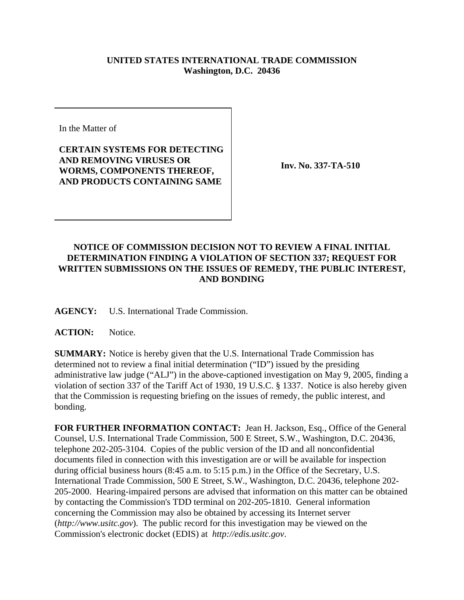## **UNITED STATES INTERNATIONAL TRADE COMMISSION Washington, D.C. 20436**

In the Matter of

## **CERTAIN SYSTEMS FOR DETECTING AND REMOVING VIRUSES OR WORMS, COMPONENTS THEREOF, AND PRODUCTS CONTAINING SAME**

**Inv. No. 337-TA-510**

## **NOTICE OF COMMISSION DECISION NOT TO REVIEW A FINAL INITIAL DETERMINATION FINDING A VIOLATION OF SECTION 337; REQUEST FOR WRITTEN SUBMISSIONS ON THE ISSUES OF REMEDY, THE PUBLIC INTEREST, AND BONDING**

**AGENCY:** U.S. International Trade Commission.

**ACTION:** Notice.

**SUMMARY:** Notice is hereby given that the U.S. International Trade Commission has determined not to review a final initial determination ("ID") issued by the presiding administrative law judge ("ALJ") in the above-captioned investigation on May 9, 2005, finding a violation of section 337 of the Tariff Act of 1930, 19 U.S.C. § 1337. Notice is also hereby given that the Commission is requesting briefing on the issues of remedy, the public interest, and bonding.

**FOR FURTHER INFORMATION CONTACT:** Jean H. Jackson, Esq., Office of the General Counsel, U.S. International Trade Commission, 500 E Street, S.W., Washington, D.C. 20436, telephone 202-205-3104. Copies of the public version of the ID and all nonconfidential documents filed in connection with this investigation are or will be available for inspection during official business hours (8:45 a.m. to 5:15 p.m.) in the Office of the Secretary, U.S. International Trade Commission, 500 E Street, S.W., Washington, D.C. 20436, telephone 202- 205-2000. Hearing-impaired persons are advised that information on this matter can be obtained by contacting the Commission's TDD terminal on 202-205-1810. General information concerning the Commission may also be obtained by accessing its Internet server (*http://www.usitc.gov*). The public record for this investigation may be viewed on the Commission's electronic docket (EDIS) at *http://edis.usitc.gov*.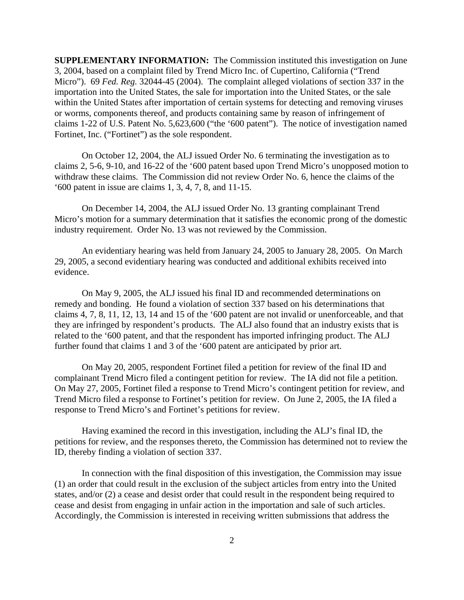**SUPPLEMENTARY INFORMATION:** The Commission instituted this investigation on June 3, 2004, based on a complaint filed by Trend Micro Inc. of Cupertino, California ("Trend Micro"). 69 *Fed. Reg.* 32044-45 (2004). The complaint alleged violations of section 337 in the importation into the United States, the sale for importation into the United States, or the sale within the United States after importation of certain systems for detecting and removing viruses or worms, components thereof, and products containing same by reason of infringement of claims 1-22 of U.S. Patent No. 5,623,600 ("the '600 patent"). The notice of investigation named Fortinet, Inc. ("Fortinet") as the sole respondent.

On October 12, 2004, the ALJ issued Order No. 6 terminating the investigation as to claims 2, 5-6, 9-10, and 16-22 of the '600 patent based upon Trend Micro's unopposed motion to withdraw these claims. The Commission did not review Order No. 6, hence the claims of the '600 patent in issue are claims 1, 3, 4, 7, 8, and 11-15.

On December 14, 2004, the ALJ issued Order No. 13 granting complainant Trend Micro's motion for a summary determination that it satisfies the economic prong of the domestic industry requirement. Order No. 13 was not reviewed by the Commission.

An evidentiary hearing was held from January 24, 2005 to January 28, 2005. On March 29, 2005, a second evidentiary hearing was conducted and additional exhibits received into evidence.

On May 9, 2005, the ALJ issued his final ID and recommended determinations on remedy and bonding. He found a violation of section 337 based on his determinations that claims 4, 7, 8, 11, 12, 13, 14 and 15 of the '600 patent are not invalid or unenforceable, and that they are infringed by respondent's products. The ALJ also found that an industry exists that is related to the '600 patent, and that the respondent has imported infringing product. The ALJ further found that claims 1 and 3 of the '600 patent are anticipated by prior art.

On May 20, 2005, respondent Fortinet filed a petition for review of the final ID and complainant Trend Micro filed a contingent petition for review. The IA did not file a petition. On May 27, 2005, Fortinet filed a response to Trend Micro's contingent petition for review, and Trend Micro filed a response to Fortinet's petition for review. On June 2, 2005, the IA filed a response to Trend Micro's and Fortinet's petitions for review.

Having examined the record in this investigation, including the ALJ's final ID, the petitions for review, and the responses thereto, the Commission has determined not to review the ID, thereby finding a violation of section 337.

In connection with the final disposition of this investigation, the Commission may issue (1) an order that could result in the exclusion of the subject articles from entry into the United states, and/or (2) a cease and desist order that could result in the respondent being required to cease and desist from engaging in unfair action in the importation and sale of such articles. Accordingly, the Commission is interested in receiving written submissions that address the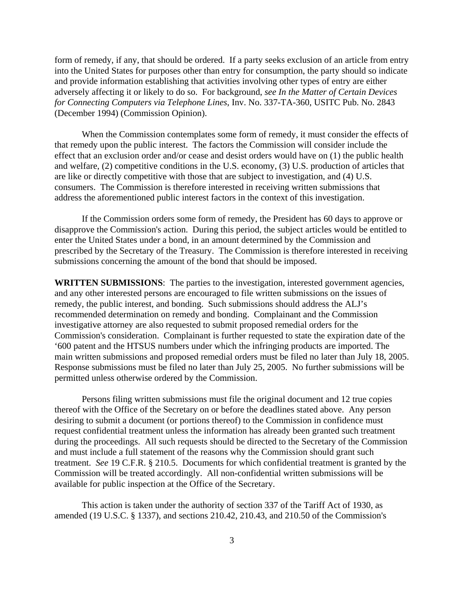form of remedy, if any, that should be ordered. If a party seeks exclusion of an article from entry into the United States for purposes other than entry for consumption, the party should so indicate and provide information establishing that activities involving other types of entry are either adversely affecting it or likely to do so. For background, *see In the Matter of Certain Devices for Connecting Computers via Telephone Lines*, Inv. No. 337-TA-360, USITC Pub. No. 2843 (December 1994) (Commission Opinion).

When the Commission contemplates some form of remedy, it must consider the effects of that remedy upon the public interest. The factors the Commission will consider include the effect that an exclusion order and/or cease and desist orders would have on (1) the public health and welfare, (2) competitive conditions in the U.S. economy, (3) U.S. production of articles that are like or directly competitive with those that are subject to investigation, and (4) U.S. consumers. The Commission is therefore interested in receiving written submissions that address the aforementioned public interest factors in the context of this investigation.

If the Commission orders some form of remedy, the President has 60 days to approve or disapprove the Commission's action. During this period, the subject articles would be entitled to enter the United States under a bond, in an amount determined by the Commission and prescribed by the Secretary of the Treasury. The Commission is therefore interested in receiving submissions concerning the amount of the bond that should be imposed.

**WRITTEN SUBMISSIONS**: The parties to the investigation, interested government agencies, and any other interested persons are encouraged to file written submissions on the issues of remedy, the public interest, and bonding. Such submissions should address the ALJ's recommended determination on remedy and bonding. Complainant and the Commission investigative attorney are also requested to submit proposed remedial orders for the Commission's consideration. Complainant is further requested to state the expiration date of the '600 patent and the HTSUS numbers under which the infringing products are imported. The main written submissions and proposed remedial orders must be filed no later than July 18, 2005. Response submissions must be filed no later than July 25, 2005. No further submissions will be permitted unless otherwise ordered by the Commission.

Persons filing written submissions must file the original document and 12 true copies thereof with the Office of the Secretary on or before the deadlines stated above. Any person desiring to submit a document (or portions thereof) to the Commission in confidence must request confidential treatment unless the information has already been granted such treatment during the proceedings. All such requests should be directed to the Secretary of the Commission and must include a full statement of the reasons why the Commission should grant such treatment. *See* 19 C.F.R. § 210.5. Documents for which confidential treatment is granted by the Commission will be treated accordingly. All non-confidential written submissions will be available for public inspection at the Office of the Secretary.

This action is taken under the authority of section 337 of the Tariff Act of 1930, as amended (19 U.S.C. § 1337), and sections 210.42, 210.43, and 210.50 of the Commission's